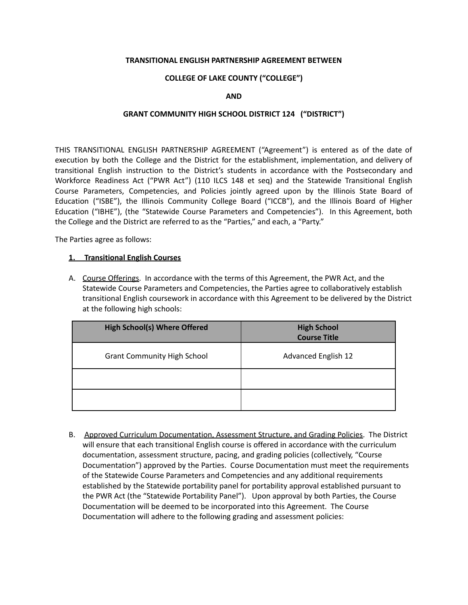## **TRANSITIONAL ENGLISH PARTNERSHIP AGREEMENT BETWEEN**

## **COLLEGE OF LAKE COUNTY ("COLLEGE")**

**AND**

## **GRANT COMMUNITY HIGH SCHOOL DISTRICT 124 ("DISTRICT")**

THIS TRANSITIONAL ENGLISH PARTNERSHIP AGREEMENT ("Agreement") is entered as of the date of execution by both the College and the District for the establishment, implementation, and delivery of transitional English instruction to the District's students in accordance with the Postsecondary and Workforce Readiness Act ("PWR Act") (110 ILCS 148 et seq) and the Statewide Transitional English Course Parameters, Competencies, and Policies jointly agreed upon by the Illinois State Board of Education ("ISBE"), the Illinois Community College Board ("ICCB"), and the Illinois Board of Higher Education ("IBHE"), (the "Statewide Course Parameters and Competencies"). In this Agreement, both the College and the District are referred to as the "Parties," and each, a "Party."

The Parties agree as follows:

## **1. Transitional English Courses**

A. Course Offerings. In accordance with the terms of this Agreement, the PWR Act, and the Statewide Course Parameters and Competencies, the Parties agree to collaboratively establish transitional English coursework in accordance with this Agreement to be delivered by the District at the following high schools:

| <b>High School(s) Where Offered</b> | <b>High School</b><br><b>Course Title</b> |
|-------------------------------------|-------------------------------------------|
| <b>Grant Community High School</b>  | <b>Advanced English 12</b>                |
|                                     |                                           |
|                                     |                                           |

B. Approved Curriculum Documentation, Assessment Structure, and Grading Policies. The District will ensure that each transitional English course is offered in accordance with the curriculum documentation, assessment structure, pacing, and grading policies (collectively, "Course Documentation") approved by the Parties. Course Documentation must meet the requirements of the Statewide Course Parameters and Competencies and any additional requirements established by the Statewide portability panel for portability approval established pursuant to the PWR Act (the "Statewide Portability Panel"). Upon approval by both Parties, the Course Documentation will be deemed to be incorporated into this Agreement. The Course Documentation will adhere to the following grading and assessment policies: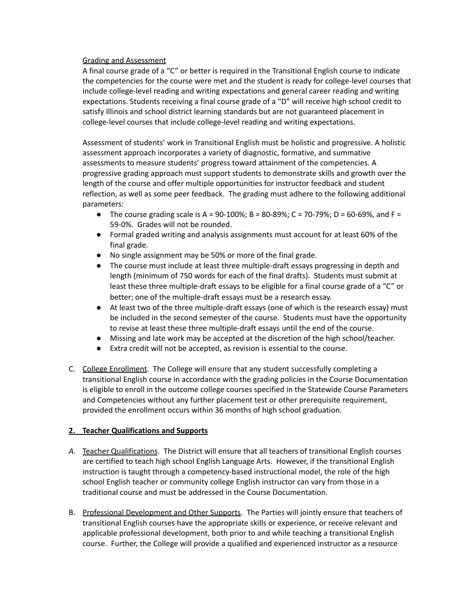Grading and Assessment

A final course grade of a "C" or better is required in the Transitional English course to indicate the competencies for the course were met and the student is ready for college-level courses that include college-level reading and writing expectations and general career reading and writing expectations. Students receiving a final course grade of a "D" will receive high school credit to satisfy Illinois and school district learning standards but are not guaranteed placement in college-level courses that include college-level reading and writing expectations.

Assessment of students' work in Transitional English must be holistic and progressive. A holistic assessment approach incorporates a variety of diagnostic, formative, and summative assessments to measure students' progress toward attainment of the competencies. A progressive grading approach must support students to demonstrate skills and growth over the length of the course and offer multiple opportunities for instructor feedback and student reflection, as well as some peer feedback. The grading must adhere to the following additional parameters:

- The course grading scale is A =  $90-100\%$ ; B =  $80-89\%$ ; C =  $70-79\%$ ; D =  $60-69\%$ , and F = 59-0%. Grades will not be rounded.
- Formal graded writing and analysis assignments must account for at least 60% of the final grade.
- No single assignment may be 50% or more of the final grade.
- The course must include at least three multiple-draft essays progressing in depth and length (minimum of 750 words for each of the final drafts). Students must submit at least these three multiple-draft essays to be eligible for a final course grade of a "C" or better; one of the multiple-draft essays must be a research essay.
- At least two of the three multiple-draft essays (one of which is the research essay) must be included in the second semester of the course. Students must have the opportunity to revise at least these three multiple-draft essays until the end of the course.
- Missing and late work may be accepted at the discretion of the high school/teacher.
- Extra credit will not be accepted, as revision is essential to the course.
- C. College Enrollment. The College will ensure that any student successfully completing a transitional English course in accordance with the grading policies in the Course Documentation is eligible to enroll in the outcome college courses specified in the Statewide Course Parameters and Competencies without any further placement test or other prerequisite requirement, provided the enrollment occurs within 36 months of high school graduation.

## **2. Teacher Qualifications and Supports**

- *A.* Teacher Qualifications. The District will ensure that all teachers of transitional English courses are certified to teach high school English Language Arts. However, if the transitional English instruction is taught through a competency-based instructional model, the role of the high school English teacher or community college English instructor can vary from those in a traditional course and must be addressed in the Course Documentation.
- B. Professional Development and Other Supports. The Parties will jointly ensure that teachers of transitional English courses have the appropriate skills or experience, or receive relevant and applicable professional development, both prior to and while teaching a transitional English course. Further, the College will provide a qualified and experienced instructor as a resource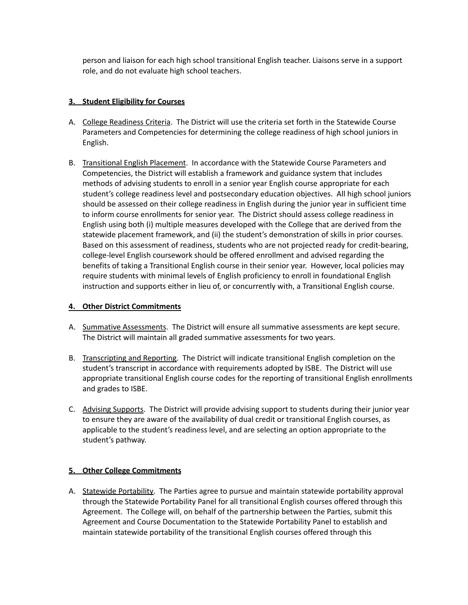person and liaison for each high school transitional English teacher. Liaisons serve in a support role, and do not evaluate high school teachers.

## **3. Student Eligibility for Courses**

- A. College Readiness Criteria. The District will use the criteria set forth in the Statewide Course Parameters and Competencies for determining the college readiness of high school juniors in English.
- B. Transitional English Placement. In accordance with the Statewide Course Parameters and Competencies, the District will establish a framework and guidance system that includes methods of advising students to enroll in a senior year English course appropriate for each student's college readiness level and postsecondary education objectives. All high school juniors should be assessed on their college readiness in English during the junior year in sufficient time to inform course enrollments for senior year. The District should assess college readiness in English using both (i) multiple measures developed with the College that are derived from the statewide placement framework, and (ii) the student's demonstration of skills in prior courses. Based on this assessment of readiness, students who are not projected ready for credit-bearing, college-level English coursework should be offered enrollment and advised regarding the benefits of taking a Transitional English course in their senior year. However, local policies may require students with minimal levels of English proficiency to enroll in foundational English instruction and supports either in lieu of, or concurrently with, a Transitional English course.

# **4. Other District Commitments**

- A. Summative Assessments. The District will ensure all summative assessments are kept secure. The District will maintain all graded summative assessments for two years.
- B. Transcripting and Reporting. The District will indicate transitional English completion on the student's transcript in accordance with requirements adopted by ISBE. The District will use appropriate transitional English course codes for the reporting of transitional English enrollments and grades to ISBE.
- C. Advising Supports. The District will provide advising support to students during their junior year to ensure they are aware of the availability of dual credit or transitional English courses, as applicable to the student's readiness level, and are selecting an option appropriate to the student's pathway.

# **5. Other College Commitments**

A. Statewide Portability. The Parties agree to pursue and maintain statewide portability approval through the Statewide Portability Panel for all transitional English courses offered through this Agreement. The College will, on behalf of the partnership between the Parties, submit this Agreement and Course Documentation to the Statewide Portability Panel to establish and maintain statewide portability of the transitional English courses offered through this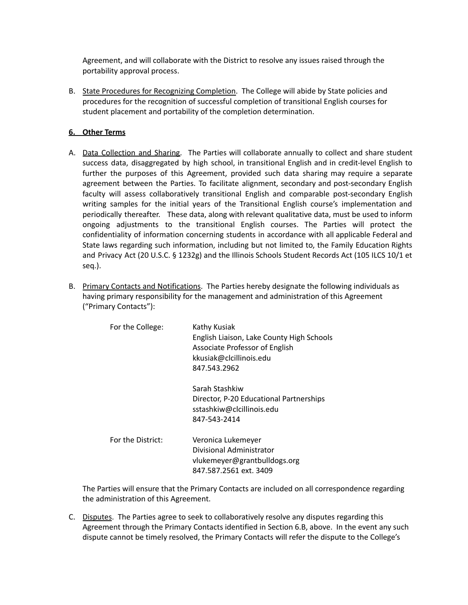Agreement, and will collaborate with the District to resolve any issues raised through the portability approval process.

B. State Procedures for Recognizing Completion. The College will abide by State policies and procedures for the recognition of successful completion of transitional English courses for student placement and portability of the completion determination.

## **6. Other Terms**

- A. Data Collection and Sharing. The Parties will collaborate annually to collect and share student success data, disaggregated by high school, in transitional English and in credit-level English to further the purposes of this Agreement, provided such data sharing may require a separate agreement between the Parties. To facilitate alignment, secondary and post-secondary English faculty will assess collaboratively transitional English and comparable post-secondary English writing samples for the initial years of the Transitional English course's implementation and periodically thereafter. These data, along with relevant qualitative data, must be used to inform ongoing adjustments to the transitional English courses. The Parties will protect the confidentiality of information concerning students in accordance with all applicable Federal and State laws regarding such information, including but not limited to, the Family Education Rights and Privacy Act (20 U.S.C. § 1232g) and the Illinois Schools Student Records Act (105 ILCS 10/1 et seq.).
- B. Primary Contacts and Notifications. The Parties hereby designate the following individuals as having primary responsibility for the management and administration of this Agreement ("Primary Contacts"):

| For the College:  | Kathy Kusiak<br>English Liaison, Lake County High Schools<br>Associate Professor of English<br>kkusiak@clcillinois.edu<br>847.543.2962 |
|-------------------|----------------------------------------------------------------------------------------------------------------------------------------|
|                   | Sarah Stashkiw<br>Director, P-20 Educational Partnerships<br>sstashkiw@clcillinois.edu<br>847-543-2414                                 |
| For the District: | Veronica Lukemeyer<br>Divisional Administrator<br>vlukemeyer@grantbulldogs.org<br>847.587.2561 ext. 3409                               |

The Parties will ensure that the Primary Contacts are included on all correspondence regarding the administration of this Agreement.

C. Disputes. The Parties agree to seek to collaboratively resolve any disputes regarding this Agreement through the Primary Contacts identified in Section 6.B, above. In the event any such dispute cannot be timely resolved, the Primary Contacts will refer the dispute to the College's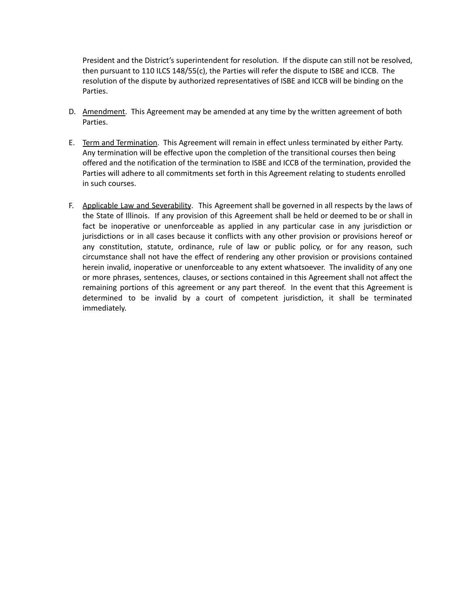President and the District's superintendent for resolution. If the dispute can still not be resolved, then pursuant to 110 ILCS 148/55(c), the Parties will refer the dispute to ISBE and ICCB. The resolution of the dispute by authorized representatives of ISBE and ICCB will be binding on the Parties.

- D. Amendment. This Agreement may be amended at any time by the written agreement of both Parties.
- E. Term and Termination. This Agreement will remain in effect unless terminated by either Party. Any termination will be effective upon the completion of the transitional courses then being offered and the notification of the termination to ISBE and ICCB of the termination, provided the Parties will adhere to all commitments set forth in this Agreement relating to students enrolled in such courses.
- F. Applicable Law and Severability. This Agreement shall be governed in all respects by the laws of the State of Illinois. If any provision of this Agreement shall be held or deemed to be or shall in fact be inoperative or unenforceable as applied in any particular case in any jurisdiction or jurisdictions or in all cases because it conflicts with any other provision or provisions hereof or any constitution, statute, ordinance, rule of law or public policy, or for any reason, such circumstance shall not have the effect of rendering any other provision or provisions contained herein invalid, inoperative or unenforceable to any extent whatsoever. The invalidity of any one or more phrases, sentences, clauses, or sections contained in this Agreement shall not affect the remaining portions of this agreement or any part thereof. In the event that this Agreement is determined to be invalid by a court of competent jurisdiction, it shall be terminated immediately.